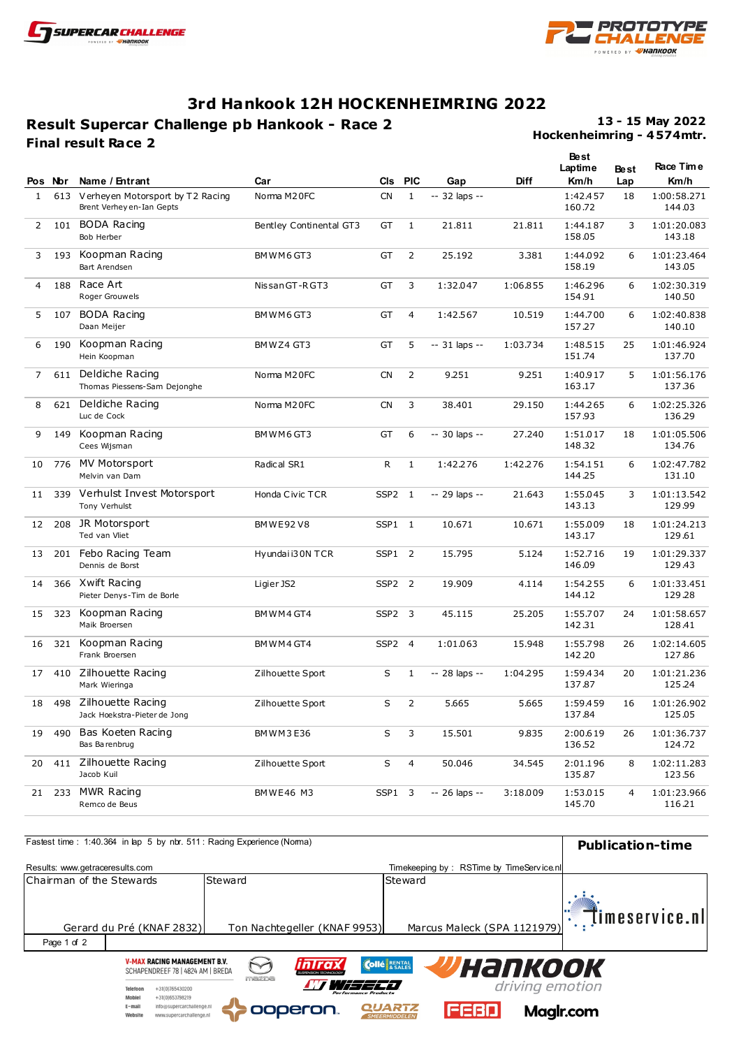

Mobiel

 $E$ -mail

Website

 $+31(0)653798219$ 

info@supercarchallenge.nl

www.supercarchallenge.nl



## **3rd Hankook 12H HOCKENHEIMRING 2022**

## **Result Supercar Challenge pb Hankook - Race 2 Final result Race 2**

**Hockenheimring - 4 574mtr. 13 - 15 May 2022**

|                | Pos Nor | Name / Entrant                                                    | Car                     | <b>CIs</b>        | <b>PIC</b>     | Gap            | <b>Diff</b> | <b>Best</b><br>Laptime<br>Km/h | <b>Best</b><br>Lap | Race Time<br>Km/h     |
|----------------|---------|-------------------------------------------------------------------|-------------------------|-------------------|----------------|----------------|-------------|--------------------------------|--------------------|-----------------------|
| $\mathbf{1}$   |         | 613 Verheyen Motorsport by T2 Racing<br>Brent Verhey en-Ian Gepts | Norma M20FC             | <b>CN</b>         | $\mathbf{1}$   | $-32$ laps $-$ |             | 1:42.457<br>160.72             | 18                 | 1:00:58.271<br>144.03 |
| 2              | 101     | <b>BODA Racing</b><br>Bob Herber                                  | Bentley Continental GT3 | GT                | $\mathbf{1}$   | 21.811         | 21.811      | 1:44.187<br>158.05             | 3                  | 1:01:20.083<br>143.18 |
| 3              | 193     | Koopman Racing<br>Bart Arendsen                                   | BMWM6GT3                | GT                | 2              | 25.192         | 3.381       | 1:44.092<br>158.19             | 6                  | 1:01:23.464<br>143.05 |
| 4              | 188     | Race Art<br>Roger Grouwels                                        | Nissan GT-R GT3         | GT                | 3              | 1:32.047       | 1:06.855    | 1:46.296<br>154.91             | 6                  | 1:02:30.319<br>140.50 |
| 5              | 107     | <b>BODA</b> Racing<br>Daan Meijer                                 | BMWM6GT3                | GT                | $\overline{4}$ | 1:42.567       | 10.519      | 1:44.700<br>157.27             | 6                  | 1:02:40.838<br>140.10 |
| 6              | 190     | Koopman Racing<br>Hein Koopman                                    | BMWZ4 GT3               | GT                | 5              | -- 31 laps --  | 1:03.734    | 1:48.515<br>151.74             | 25                 | 1:01:46.924<br>137.70 |
| $\overline{7}$ | 611     | Deldiche Racing<br>Thomas Piessens-Sam Dejonghe                   | Norma M20FC             | <b>CN</b>         | $\overline{2}$ | 9.251          | 9.251       | 1:40.917<br>163.17             | 5                  | 1:01:56.176<br>137.36 |
| 8              | 621     | Deldiche Racing<br>Luc de Cock                                    | Norma M20FC             | <b>CN</b>         | 3              | 38.401         | 29.150      | 1:44.265<br>157.93             | 6                  | 1:02:25.326<br>136.29 |
| 9              | 149     | Koopman Racing<br>Cees Wijsman                                    | BMWM6GT3                | GT                | 6              | -- 30 laps --  | 27.240      | 1:51.017<br>148.32             | 18                 | 1:01:05.506<br>134.76 |
| 10             | 776     | <b>MV Motorsport</b><br>Melvin van Dam                            | Radical SR1             | R                 | $\mathbf{1}$   | 1:42.276       | 1:42.276    | 1:54.151<br>144.25             | 6                  | 1:02:47.782<br>131.10 |
| 11             | 339     | Verhulst Invest Motorsport<br>Tony Verhulst                       | Honda Civic TCR         | SSP2 1            |                | -- 29 laps --  | 21.643      | 1:55.045<br>143.13             | 3                  | 1:01:13.542<br>129.99 |
| 12             | 208     | JR Motorsport<br>Ted van Vliet                                    | <b>BMWE92V8</b>         | SSP1 1            |                | 10.671         | 10.671      | 1:55.009<br>143.17             | 18                 | 1:01:24.213<br>129.61 |
| 13             | 201     | Febo Racing Team<br>Dennis de Borst                               | Hyundaii30N TCR         | SSP1 2            |                | 15.795         | 5.124       | 1:52.716<br>146.09             | 19                 | 1:01:29.337<br>129.43 |
| 14             |         | 366 Xwift Racing<br>Pieter Denys-Tim de Borle                     | Ligier JS2              | SSP2 <sub>2</sub> |                | 19.909         | 4.114       | 1:54.255<br>144.12             | 6                  | 1:01:33.451<br>129.28 |
| 15             | 323     | Koopman Racing<br>Maik Broersen                                   | BMWM4GT4                | SSP2 3            |                | 45.115         | 25.205      | 1:55.707<br>142.31             | 24                 | 1:01:58.657<br>128.41 |
| 16             | 321     | Koopman Racing<br>Frank Broersen                                  | BMWM4GT4                | SSP2 4            |                | 1:01.063       | 15.948      | 1:55.798<br>142.20             | 26                 | 1:02:14.605<br>127.86 |
| 17             | 410     | Zilhouette Racing<br>Mark Wieringa                                | Zilhouette Sport        | S                 | $\mathbf{1}$   | -- 28 laps --  | 1:04.295    | 1:59.434<br>137.87             | 20                 | 1:01:21.236<br>125.24 |
| 18             | 498     | Zilhouette Racing<br>Jack Hoekstra-Pieter de Jong                 | Zilhouette Sport        | S                 | 2              | 5.665          | 5.665       | 1:59.459<br>137.84             | 16                 | 1:01:26.902<br>125.05 |
| 19             | 490     | Bas Koeten Racing<br>Bas Barenbrug                                | BMWM3E36                | S                 | 3              | 15.501         | 9.835       | 2:00.619<br>136.52             | 26                 | 1:01:36.737<br>124.72 |
| 20             | 411     | Zilhouette Racing<br>Jacob Kuil                                   | Zilhouette Sport        | S                 | 4              | 50.046         | 34.545      | 2:01.196<br>135.87             | 8                  | 1:02:11.283<br>123.56 |
| 21             | 233     | MWR Racing<br>Remco de Beus                                       | <b>BMWE46 M3</b>        | SSP1 3            |                | -- 26 laps --  | 3:18.009    | 1:53.015<br>145.70             | 4                  | 1:01:23.966<br>116.21 |

|                                 | Fastest time: 1:40.364 in lap 5 by nbr. 511: Racing Experience (Norma)                                    |         |                                |                                           | <b>Publication-time</b> |
|---------------------------------|-----------------------------------------------------------------------------------------------------------|---------|--------------------------------|-------------------------------------------|-------------------------|
| Results: www.getraceresults.com |                                                                                                           |         |                                | Timekeeping by: RSTime by TimeService.nll |                         |
| Chairman of the Stewards        |                                                                                                           | Steward |                                | Steward                                   |                         |
|                                 | Gerard du Pré (KNAF 2832)                                                                                 |         | Ton Nachtegeller (KNAF 9953)   | Marcus Maleck (SPA 1121979)               | timeservice.nl          |
| Page 1 of 2                     |                                                                                                           |         |                                |                                           |                         |
|                                 | <b>V-MAX RACING MANAGEMENT B.V.</b><br>SCHAPENDREEF 78   4824 AM   BREDA<br>$+31(0)765430200$<br>Telefoon | mazna   | inIrax<br>Performance Products | <b>Collé</b> RENTAL<br><b>Унапкоок</b>    | driving emotion         |

**Pooperon** 

**QUARTZ** 

**FEBD** 

Maglr.com